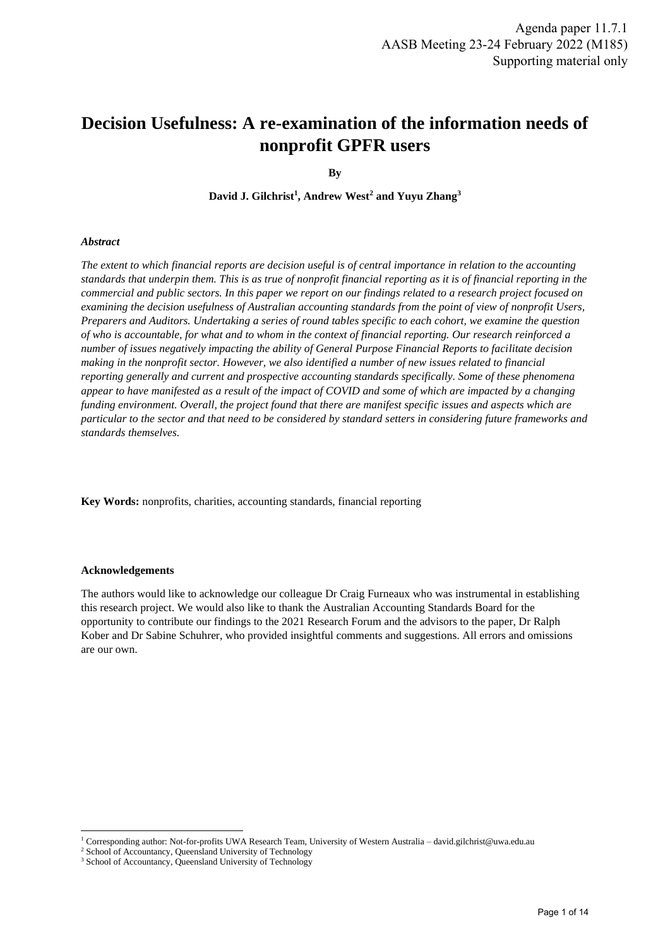# **Decision Usefulness: A re-examination of the information needs of nonprofit GPFR users**

**By**

**David J. Gilchrist<sup>1</sup> , Andrew West<sup>2</sup> and Yuyu Zhang<sup>3</sup>**

#### *Abstract*

*The extent to which financial reports are decision useful is of central importance in relation to the accounting standards that underpin them. This is as true of nonprofit financial reporting as it is of financial reporting in the commercial and public sectors. In this paper we report on our findings related to a research project focused on examining the decision usefulness of Australian accounting standards from the point of view of nonprofit Users, Preparers and Auditors. Undertaking a series of round tables specific to each cohort, we examine the question of who is accountable, for what and to whom in the context of financial reporting. Our research reinforced a number of issues negatively impacting the ability of General Purpose Financial Reports to facilitate decision making in the nonprofit sector. However, we also identified a number of new issues related to financial reporting generally and current and prospective accounting standards specifically. Some of these phenomena appear to have manifested as a result of the impact of COVID and some of which are impacted by a changing funding environment. Overall, the project found that there are manifest specific issues and aspects which are particular to the sector and that need to be considered by standard setters in considering future frameworks and standards themselves.*

**Key Words:** nonprofits, charities, accounting standards, financial reporting

#### **Acknowledgements**

The authors would like to acknowledge our colleague Dr Craig Furneaux who was instrumental in establishing this research project. We would also like to thank the Australian Accounting Standards Board for the opportunity to contribute our findings to the 2021 Research Forum and the advisors to the paper, Dr Ralph Kober and Dr Sabine Schuhrer, who provided insightful comments and suggestions. All errors and omissions are our own.

<sup>1</sup> Corresponding author: Not-for-profits UWA Research Team, University of Western Australia – david.gilchrist@uwa.edu.au

<sup>&</sup>lt;sup>2</sup> School of Accountancy, Queensland University of Technology

<sup>&</sup>lt;sup>3</sup> School of Accountancy, Queensland University of Technology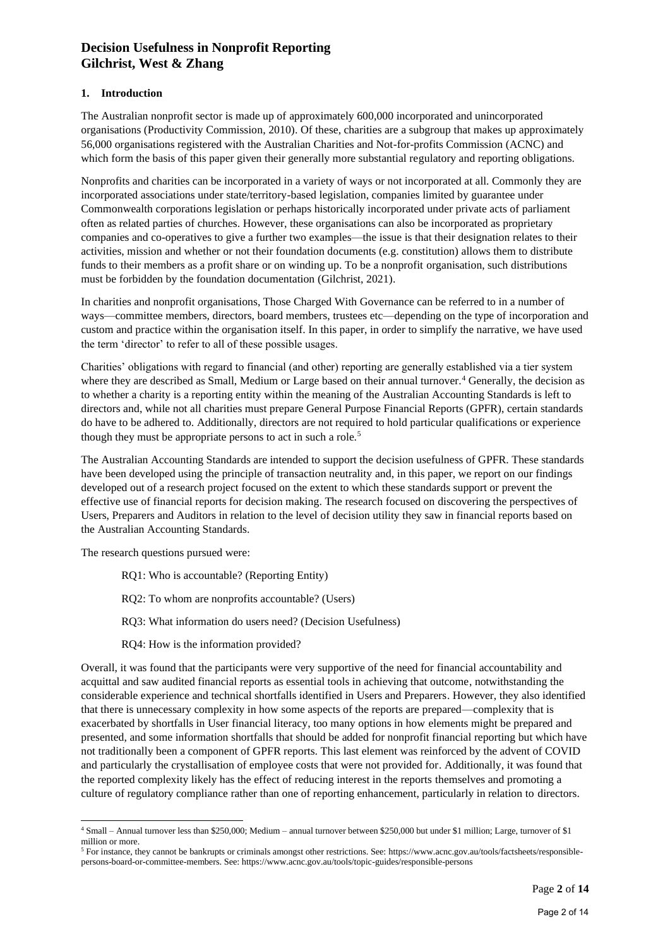#### **1. Introduction**

The Australian nonprofit sector is made up of approximately 600,000 incorporated and unincorporated organisations (Productivity Commission, 2010). Of these, charities are a subgroup that makes up approximately 56,000 organisations registered with the Australian Charities and Not-for-profits Commission (ACNC) and which form the basis of this paper given their generally more substantial regulatory and reporting obligations.

Nonprofits and charities can be incorporated in a variety of ways or not incorporated at all. Commonly they are incorporated associations under state/territory-based legislation, companies limited by guarantee under Commonwealth corporations legislation or perhaps historically incorporated under private acts of parliament often as related parties of churches. However, these organisations can also be incorporated as proprietary companies and co-operatives to give a further two examples—the issue is that their designation relates to their activities, mission and whether or not their foundation documents (e.g. constitution) allows them to distribute funds to their members as a profit share or on winding up. To be a nonprofit organisation, such distributions must be forbidden by the foundation documentation (Gilchrist, 2021).

In charities and nonprofit organisations, Those Charged With Governance can be referred to in a number of ways—committee members, directors, board members, trustees etc—depending on the type of incorporation and custom and practice within the organisation itself. In this paper, in order to simplify the narrative, we have used the term 'director' to refer to all of these possible usages.

Charities' obligations with regard to financial (and other) reporting are generally established via a tier system where they are described as Small, Medium or Large based on their annual turnover.<sup>4</sup> Generally, the decision as to whether a charity is a reporting entity within the meaning of the Australian Accounting Standards is left to directors and, while not all charities must prepare General Purpose Financial Reports (GPFR), certain standards do have to be adhered to. Additionally, directors are not required to hold particular qualifications or experience though they must be appropriate persons to act in such a role.<sup>5</sup>

The Australian Accounting Standards are intended to support the decision usefulness of GPFR. These standards have been developed using the principle of transaction neutrality and, in this paper, we report on our findings developed out of a research project focused on the extent to which these standards support or prevent the effective use of financial reports for decision making. The research focused on discovering the perspectives of Users, Preparers and Auditors in relation to the level of decision utility they saw in financial reports based on the Australian Accounting Standards.

The research questions pursued were:

- RQ1: Who is accountable? (Reporting Entity)
- RQ2: To whom are nonprofits accountable? (Users)
- RQ3: What information do users need? (Decision Usefulness)
- RQ4: How is the information provided?

Overall, it was found that the participants were very supportive of the need for financial accountability and acquittal and saw audited financial reports as essential tools in achieving that outcome, notwithstanding the considerable experience and technical shortfalls identified in Users and Preparers. However, they also identified that there is unnecessary complexity in how some aspects of the reports are prepared—complexity that is exacerbated by shortfalls in User financial literacy, too many options in how elements might be prepared and presented, and some information shortfalls that should be added for nonprofit financial reporting but which have not traditionally been a component of GPFR reports. This last element was reinforced by the advent of COVID and particularly the crystallisation of employee costs that were not provided for. Additionally, it was found that the reported complexity likely has the effect of reducing interest in the reports themselves and promoting a culture of regulatory compliance rather than one of reporting enhancement, particularly in relation to directors.

<sup>4</sup> Small – Annual turnover less than \$250,000; Medium – annual turnover between \$250,000 but under \$1 million; Large, turnover of \$1 million or more.

<sup>5</sup> For instance, they cannot be bankrupts or criminals amongst other restrictions. See[: https://www.acnc.gov.au/tools/factsheets/responsible](https://www.acnc.gov.au/tools/factsheets/responsible-persons-board-or-committee-members)[persons-board-or-committee-members.](https://www.acnc.gov.au/tools/factsheets/responsible-persons-board-or-committee-members) See: https://www.acnc.gov.au/tools/topic-guides/responsible-persons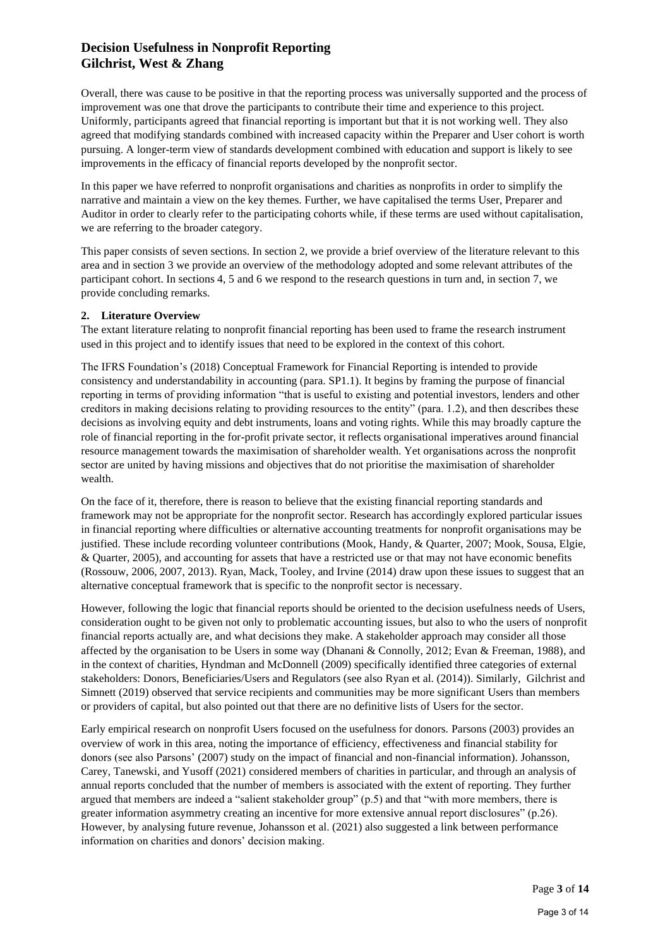Overall, there was cause to be positive in that the reporting process was universally supported and the process of improvement was one that drove the participants to contribute their time and experience to this project. Uniformly, participants agreed that financial reporting is important but that it is not working well. They also agreed that modifying standards combined with increased capacity within the Preparer and User cohort is worth pursuing. A longer-term view of standards development combined with education and support is likely to see improvements in the efficacy of financial reports developed by the nonprofit sector.

In this paper we have referred to nonprofit organisations and charities as nonprofits in order to simplify the narrative and maintain a view on the key themes. Further, we have capitalised the terms User, Preparer and Auditor in order to clearly refer to the participating cohorts while, if these terms are used without capitalisation, we are referring to the broader category.

This paper consists of seven sections. In section 2, we provide a brief overview of the literature relevant to this area and in section 3 we provide an overview of the methodology adopted and some relevant attributes of the participant cohort. In sections 4, 5 and 6 we respond to the research questions in turn and, in section 7, we provide concluding remarks.

#### **2. Literature Overview**

The extant literature relating to nonprofit financial reporting has been used to frame the research instrument used in this project and to identify issues that need to be explored in the context of this cohort.

The IFRS Foundation's (2018) Conceptual Framework for Financial Reporting is intended to provide consistency and understandability in accounting (para. SP1.1). It begins by framing the purpose of financial reporting in terms of providing information "that is useful to existing and potential investors, lenders and other creditors in making decisions relating to providing resources to the entity" (para. 1.2), and then describes these decisions as involving equity and debt instruments, loans and voting rights. While this may broadly capture the role of financial reporting in the for-profit private sector, it reflects organisational imperatives around financial resource management towards the maximisation of shareholder wealth. Yet organisations across the nonprofit sector are united by having missions and objectives that do not prioritise the maximisation of shareholder wealth.

On the face of it, therefore, there is reason to believe that the existing financial reporting standards and framework may not be appropriate for the nonprofit sector. Research has accordingly explored particular issues in financial reporting where difficulties or alternative accounting treatments for nonprofit organisations may be justified. These include recording volunteer contributions (Mook, Handy, & Quarter, 2007; Mook, Sousa, Elgie, & Quarter, 2005), and accounting for assets that have a restricted use or that may not have economic benefits (Rossouw, 2006, 2007, 2013). Ryan, Mack, Tooley, and Irvine (2014) draw upon these issues to suggest that an alternative conceptual framework that is specific to the nonprofit sector is necessary.

However, following the logic that financial reports should be oriented to the decision usefulness needs of Users, consideration ought to be given not only to problematic accounting issues, but also to who the users of nonprofit financial reports actually are, and what decisions they make. A stakeholder approach may consider all those affected by the organisation to be Users in some way (Dhanani & Connolly, 2012; Evan & Freeman, 1988), and in the context of charities, Hyndman and McDonnell (2009) specifically identified three categories of external stakeholders: Donors, Beneficiaries/Users and Regulators (see also Ryan et al. (2014)). Similarly, Gilchrist and Simnett (2019) observed that service recipients and communities may be more significant Users than members or providers of capital, but also pointed out that there are no definitive lists of Users for the sector.

Early empirical research on nonprofit Users focused on the usefulness for donors. Parsons (2003) provides an overview of work in this area, noting the importance of efficiency, effectiveness and financial stability for donors (see also Parsons' (2007) study on the impact of financial and non-financial information). Johansson, Carey, Tanewski, and Yusoff (2021) considered members of charities in particular, and through an analysis of annual reports concluded that the number of members is associated with the extent of reporting. They further argued that members are indeed a "salient stakeholder group" (p.5) and that "with more members, there is greater information asymmetry creating an incentive for more extensive annual report disclosures" (p.26). However, by analysing future revenue, Johansson et al. (2021) also suggested a link between performance information on charities and donors' decision making.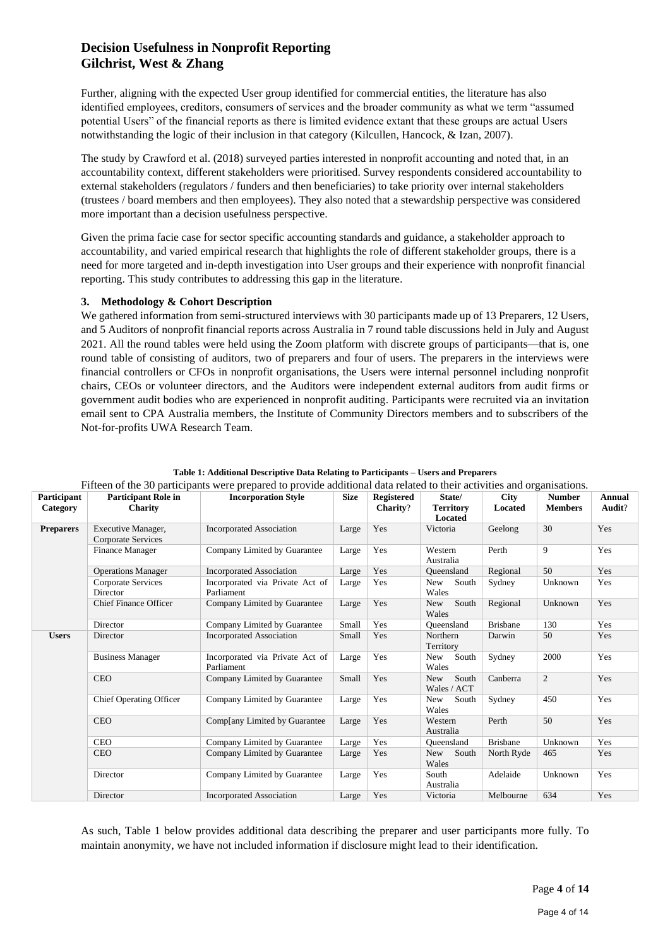Further, aligning with the expected User group identified for commercial entities, the literature has also identified employees, creditors, consumers of services and the broader community as what we term "assumed potential Users" of the financial reports as there is limited evidence extant that these groups are actual Users notwithstanding the logic of their inclusion in that category (Kilcullen, Hancock, & Izan, 2007).

The study by Crawford et al. (2018) surveyed parties interested in nonprofit accounting and noted that, in an accountability context, different stakeholders were prioritised. Survey respondents considered accountability to external stakeholders (regulators / funders and then beneficiaries) to take priority over internal stakeholders (trustees / board members and then employees). They also noted that a stewardship perspective was considered more important than a decision usefulness perspective.

Given the prima facie case for sector specific accounting standards and guidance, a stakeholder approach to accountability, and varied empirical research that highlights the role of different stakeholder groups, there is a need for more targeted and in-depth investigation into User groups and their experience with nonprofit financial reporting. This study contributes to addressing this gap in the literature.

#### **3. Methodology & Cohort Description**

We gathered information from semi-structured interviews with 30 participants made up of 13 Preparers, 12 Users, and 5 Auditors of nonprofit financial reports across Australia in 7 round table discussions held in July and August 2021. All the round tables were held using the Zoom platform with discrete groups of participants—that is, one round table of consisting of auditors, two of preparers and four of users. The preparers in the interviews were financial controllers or CFOs in nonprofit organisations, the Users were internal personnel including nonprofit chairs, CEOs or volunteer directors, and the Auditors were independent external auditors from audit firms or government audit bodies who are experienced in nonprofit auditing. Participants were recruited via an invitation email sent to CPA Australia members, the Institute of Community Directors members and to subscribers of the Not-for-profits UWA Research Team.

| Participant<br>Category | <b>Participant Role in</b><br><b>Charity</b>    | <b>Incorporation Style</b>                    | <b>Size</b> | Registered<br><b>Charity?</b> | State/<br><b>Territory</b><br>Located | <b>City</b><br>Located | <b>Number</b><br><b>Members</b> | <b>Annual</b><br>Audit? |
|-------------------------|-------------------------------------------------|-----------------------------------------------|-------------|-------------------------------|---------------------------------------|------------------------|---------------------------------|-------------------------|
| <b>Preparers</b>        | Executive Manager,<br><b>Corporate Services</b> | <b>Incorporated Association</b>               | Large       | Yes                           | Victoria                              | Geelong                | 30                              | Yes                     |
|                         | Finance Manager                                 | Company Limited by Guarantee                  | Large       | Yes                           | Western<br>Australia                  | Perth                  | 9                               | Yes                     |
|                         | <b>Operations Manager</b>                       | <b>Incorporated Association</b>               | Large       | Yes                           | Oueensland                            | Regional               | 50                              | Yes                     |
|                         | Corporate Services<br>Director                  | Incorporated via Private Act of<br>Parliament | Large       | Yes                           | New<br>South<br>Wales                 | Sydney                 | Unknown                         | Yes                     |
|                         | <b>Chief Finance Officer</b>                    | Company Limited by Guarantee                  | Large       | Yes                           | South<br><b>New</b><br>Wales          | Regional               | Unknown                         | Yes                     |
|                         | Director                                        | Company Limited by Guarantee                  | Small       | Yes                           | Oueensland                            | <b>Brisbane</b>        | 130                             | Yes                     |
| <b>Users</b>            | Director                                        | <b>Incorporated Association</b>               | Small       | Yes                           | Northern<br>Territory                 | Darwin                 | 50                              | Yes                     |
|                         | <b>Business Manager</b>                         | Incorporated via Private Act of<br>Parliament | Large       | Yes                           | New<br>South<br>Wales                 | Sydney                 | 2000                            | Yes                     |
|                         | <b>CEO</b>                                      | Company Limited by Guarantee                  | Small       | Yes                           | South<br>New<br>Wales / ACT           | Canberra               | $\overline{c}$                  | Yes                     |
|                         | <b>Chief Operating Officer</b>                  | Company Limited by Guarantee                  | Large       | Yes                           | New<br>South<br>Wales                 | Sydney                 | 450                             | Yes                     |
|                         | <b>CEO</b>                                      | Complany Limited by Guarantee                 | Large       | Yes                           | Western<br>Australia                  | Perth                  | 50                              | Yes                     |
|                         | <b>CEO</b>                                      | Company Limited by Guarantee                  | Large       | Yes                           | Oueensland                            | <b>Brisbane</b>        | Unknown                         | Yes                     |
|                         | <b>CEO</b>                                      | Company Limited by Guarantee                  | Large       | Yes                           | South<br>New 1<br>Wales               | North Ryde             | 465                             | Yes                     |
|                         | Director                                        | Company Limited by Guarantee                  | Large       | Yes                           | South<br>Australia                    | Adelaide               | Unknown                         | Yes                     |
|                         | Director                                        | <b>Incorporated Association</b>               | Large       | Yes                           | Victoria                              | Melbourne              | 634                             | Yes                     |

| Table 1: Additional Descriptive Data Relating to Participants – Users and Preparers                                  |
|----------------------------------------------------------------------------------------------------------------------|
| Eifteen of the 20 pertigipants were prepared to provide additional data related to their estivities and examinations |

As such, Table 1 below provides additional data describing the preparer and user participants more fully. To maintain anonymity, we have not included information if disclosure might lead to their identification.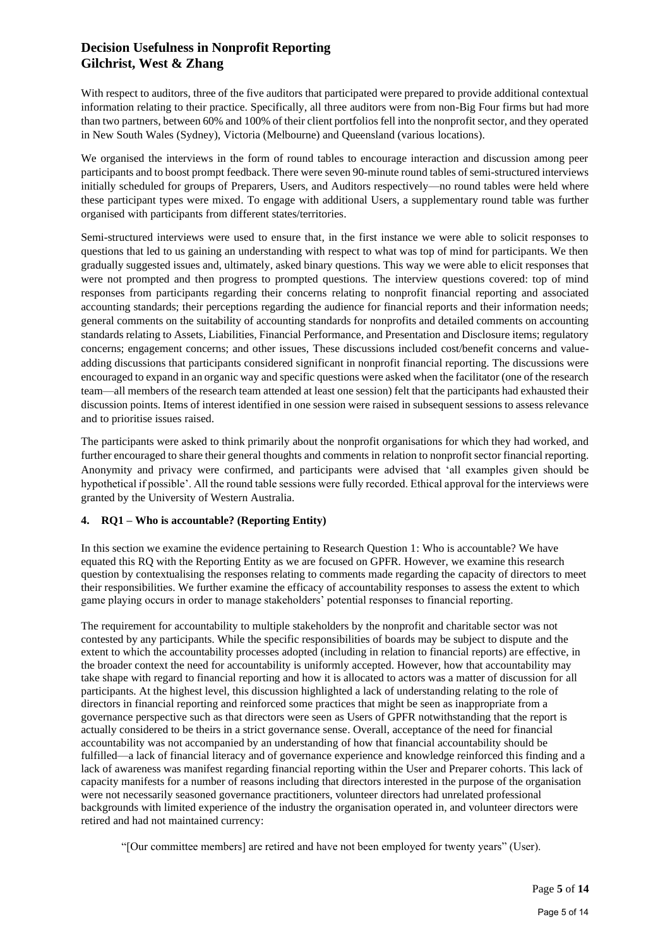With respect to auditors, three of the five auditors that participated were prepared to provide additional contextual information relating to their practice. Specifically, all three auditors were from non-Big Four firms but had more than two partners, between 60% and 100% of their client portfolios fell into the nonprofit sector, and they operated in New South Wales (Sydney), Victoria (Melbourne) and Queensland (various locations).

We organised the interviews in the form of round tables to encourage interaction and discussion among peer participants and to boost prompt feedback. There were seven 90-minute round tables of semi-structured interviews initially scheduled for groups of Preparers, Users, and Auditors respectively—no round tables were held where these participant types were mixed. To engage with additional Users, a supplementary round table was further organised with participants from different states/territories.

Semi-structured interviews were used to ensure that, in the first instance we were able to solicit responses to questions that led to us gaining an understanding with respect to what was top of mind for participants. We then gradually suggested issues and, ultimately, asked binary questions. This way we were able to elicit responses that were not prompted and then progress to prompted questions. The interview questions covered: top of mind responses from participants regarding their concerns relating to nonprofit financial reporting and associated accounting standards; their perceptions regarding the audience for financial reports and their information needs; general comments on the suitability of accounting standards for nonprofits and detailed comments on accounting standards relating to Assets, Liabilities, Financial Performance, and Presentation and Disclosure items; regulatory concerns; engagement concerns; and other issues, These discussions included cost/benefit concerns and valueadding discussions that participants considered significant in nonprofit financial reporting. The discussions were encouraged to expand in an organic way and specific questions were asked when the facilitator (one of the research team—all members of the research team attended at least one session) felt that the participants had exhausted their discussion points. Items of interest identified in one session were raised in subsequent sessions to assess relevance and to prioritise issues raised.

The participants were asked to think primarily about the nonprofit organisations for which they had worked, and further encouraged to share their general thoughts and comments in relation to nonprofit sector financial reporting. Anonymity and privacy were confirmed, and participants were advised that 'all examples given should be hypothetical if possible'. All the round table sessions were fully recorded. Ethical approval for the interviews were granted by the University of Western Australia.

### **4. RQ1 – Who is accountable? (Reporting Entity)**

In this section we examine the evidence pertaining to Research Question 1: Who is accountable? We have equated this RQ with the Reporting Entity as we are focused on GPFR. However, we examine this research question by contextualising the responses relating to comments made regarding the capacity of directors to meet their responsibilities. We further examine the efficacy of accountability responses to assess the extent to which game playing occurs in order to manage stakeholders' potential responses to financial reporting.

The requirement for accountability to multiple stakeholders by the nonprofit and charitable sector was not contested by any participants. While the specific responsibilities of boards may be subject to dispute and the extent to which the accountability processes adopted (including in relation to financial reports) are effective, in the broader context the need for accountability is uniformly accepted. However, how that accountability may take shape with regard to financial reporting and how it is allocated to actors was a matter of discussion for all participants. At the highest level, this discussion highlighted a lack of understanding relating to the role of directors in financial reporting and reinforced some practices that might be seen as inappropriate from a governance perspective such as that directors were seen as Users of GPFR notwithstanding that the report is actually considered to be theirs in a strict governance sense. Overall, acceptance of the need for financial accountability was not accompanied by an understanding of how that financial accountability should be fulfilled—a lack of financial literacy and of governance experience and knowledge reinforced this finding and a lack of awareness was manifest regarding financial reporting within the User and Preparer cohorts. This lack of capacity manifests for a number of reasons including that directors interested in the purpose of the organisation were not necessarily seasoned governance practitioners, volunteer directors had unrelated professional backgrounds with limited experience of the industry the organisation operated in, and volunteer directors were retired and had not maintained currency:

"[Our committee members] are retired and have not been employed for twenty years" (User).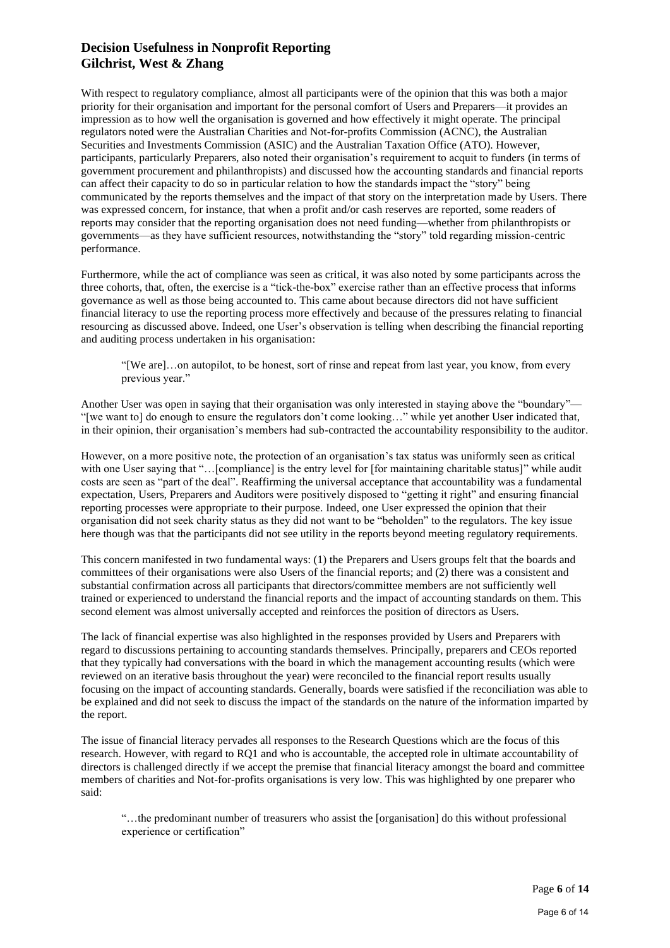With respect to regulatory compliance, almost all participants were of the opinion that this was both a major priority for their organisation and important for the personal comfort of Users and Preparers—it provides an impression as to how well the organisation is governed and how effectively it might operate. The principal regulators noted were the Australian Charities and Not-for-profits Commission (ACNC), the Australian Securities and Investments Commission (ASIC) and the Australian Taxation Office (ATO). However, participants, particularly Preparers, also noted their organisation's requirement to acquit to funders (in terms of government procurement and philanthropists) and discussed how the accounting standards and financial reports can affect their capacity to do so in particular relation to how the standards impact the "story" being communicated by the reports themselves and the impact of that story on the interpretation made by Users. There was expressed concern, for instance, that when a profit and/or cash reserves are reported, some readers of reports may consider that the reporting organisation does not need funding—whether from philanthropists or governments—as they have sufficient resources, notwithstanding the "story" told regarding mission-centric performance.

Furthermore, while the act of compliance was seen as critical, it was also noted by some participants across the three cohorts, that, often, the exercise is a "tick-the-box" exercise rather than an effective process that informs governance as well as those being accounted to. This came about because directors did not have sufficient financial literacy to use the reporting process more effectively and because of the pressures relating to financial resourcing as discussed above. Indeed, one User's observation is telling when describing the financial reporting and auditing process undertaken in his organisation:

"[We are]…on autopilot, to be honest, sort of rinse and repeat from last year, you know, from every previous year."

Another User was open in saying that their organisation was only interested in staying above the "boundary"— "[we want to] do enough to ensure the regulators don't come looking…" while yet another User indicated that, in their opinion, their organisation's members had sub-contracted the accountability responsibility to the auditor.

However, on a more positive note, the protection of an organisation's tax status was uniformly seen as critical with one User saying that "...[compliance] is the entry level for [for maintaining charitable status]" while audit costs are seen as "part of the deal". Reaffirming the universal acceptance that accountability was a fundamental expectation, Users, Preparers and Auditors were positively disposed to "getting it right" and ensuring financial reporting processes were appropriate to their purpose. Indeed, one User expressed the opinion that their organisation did not seek charity status as they did not want to be "beholden" to the regulators. The key issue here though was that the participants did not see utility in the reports beyond meeting regulatory requirements.

This concern manifested in two fundamental ways: (1) the Preparers and Users groups felt that the boards and committees of their organisations were also Users of the financial reports; and (2) there was a consistent and substantial confirmation across all participants that directors/committee members are not sufficiently well trained or experienced to understand the financial reports and the impact of accounting standards on them. This second element was almost universally accepted and reinforces the position of directors as Users.

The lack of financial expertise was also highlighted in the responses provided by Users and Preparers with regard to discussions pertaining to accounting standards themselves. Principally, preparers and CEOs reported that they typically had conversations with the board in which the management accounting results (which were reviewed on an iterative basis throughout the year) were reconciled to the financial report results usually focusing on the impact of accounting standards. Generally, boards were satisfied if the reconciliation was able to be explained and did not seek to discuss the impact of the standards on the nature of the information imparted by the report.

The issue of financial literacy pervades all responses to the Research Questions which are the focus of this research. However, with regard to RQ1 and who is accountable, the accepted role in ultimate accountability of directors is challenged directly if we accept the premise that financial literacy amongst the board and committee members of charities and Not-for-profits organisations is very low. This was highlighted by one preparer who said:

"…the predominant number of treasurers who assist the [organisation] do this without professional experience or certification"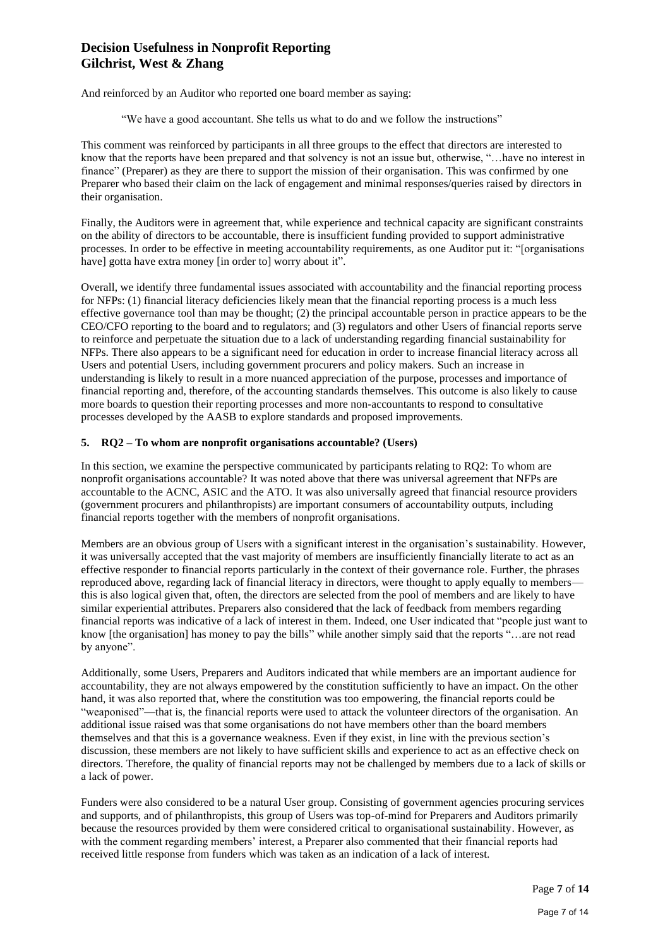And reinforced by an Auditor who reported one board member as saying:

"We have a good accountant. She tells us what to do and we follow the instructions"

This comment was reinforced by participants in all three groups to the effect that directors are interested to know that the reports have been prepared and that solvency is not an issue but, otherwise, "…have no interest in finance" (Preparer) as they are there to support the mission of their organisation. This was confirmed by one Preparer who based their claim on the lack of engagement and minimal responses/queries raised by directors in their organisation.

Finally, the Auditors were in agreement that, while experience and technical capacity are significant constraints on the ability of directors to be accountable, there is insufficient funding provided to support administrative processes. In order to be effective in meeting accountability requirements, as one Auditor put it: "[organisations have] gotta have extra money [in order to] worry about it".

Overall, we identify three fundamental issues associated with accountability and the financial reporting process for NFPs: (1) financial literacy deficiencies likely mean that the financial reporting process is a much less effective governance tool than may be thought; (2) the principal accountable person in practice appears to be the CEO/CFO reporting to the board and to regulators; and (3) regulators and other Users of financial reports serve to reinforce and perpetuate the situation due to a lack of understanding regarding financial sustainability for NFPs. There also appears to be a significant need for education in order to increase financial literacy across all Users and potential Users, including government procurers and policy makers. Such an increase in understanding is likely to result in a more nuanced appreciation of the purpose, processes and importance of financial reporting and, therefore, of the accounting standards themselves. This outcome is also likely to cause more boards to question their reporting processes and more non-accountants to respond to consultative processes developed by the AASB to explore standards and proposed improvements.

#### **5. RQ2 – To whom are nonprofit organisations accountable? (Users)**

In this section, we examine the perspective communicated by participants relating to RQ2: To whom are nonprofit organisations accountable? It was noted above that there was universal agreement that NFPs are accountable to the ACNC, ASIC and the ATO. It was also universally agreed that financial resource providers (government procurers and philanthropists) are important consumers of accountability outputs, including financial reports together with the members of nonprofit organisations.

Members are an obvious group of Users with a significant interest in the organisation's sustainability. However, it was universally accepted that the vast majority of members are insufficiently financially literate to act as an effective responder to financial reports particularly in the context of their governance role. Further, the phrases reproduced above, regarding lack of financial literacy in directors, were thought to apply equally to members this is also logical given that, often, the directors are selected from the pool of members and are likely to have similar experiential attributes. Preparers also considered that the lack of feedback from members regarding financial reports was indicative of a lack of interest in them. Indeed, one User indicated that "people just want to know [the organisation] has money to pay the bills" while another simply said that the reports "…are not read by anyone".

Additionally, some Users, Preparers and Auditors indicated that while members are an important audience for accountability, they are not always empowered by the constitution sufficiently to have an impact. On the other hand, it was also reported that, where the constitution was too empowering, the financial reports could be "weaponised"—that is, the financial reports were used to attack the volunteer directors of the organisation. An additional issue raised was that some organisations do not have members other than the board members themselves and that this is a governance weakness. Even if they exist, in line with the previous section's discussion, these members are not likely to have sufficient skills and experience to act as an effective check on directors. Therefore, the quality of financial reports may not be challenged by members due to a lack of skills or a lack of power.

Funders were also considered to be a natural User group. Consisting of government agencies procuring services and supports, and of philanthropists, this group of Users was top-of-mind for Preparers and Auditors primarily because the resources provided by them were considered critical to organisational sustainability. However, as with the comment regarding members' interest, a Preparer also commented that their financial reports had received little response from funders which was taken as an indication of a lack of interest.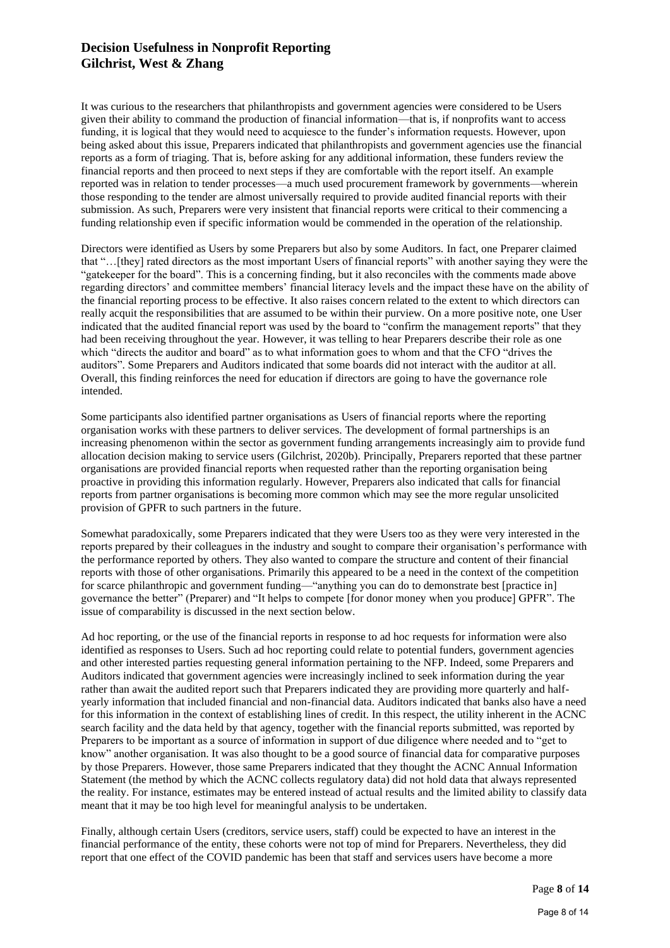It was curious to the researchers that philanthropists and government agencies were considered to be Users given their ability to command the production of financial information—that is, if nonprofits want to access funding, it is logical that they would need to acquiesce to the funder's information requests. However, upon being asked about this issue, Preparers indicated that philanthropists and government agencies use the financial reports as a form of triaging. That is, before asking for any additional information, these funders review the financial reports and then proceed to next steps if they are comfortable with the report itself. An example reported was in relation to tender processes—a much used procurement framework by governments—wherein those responding to the tender are almost universally required to provide audited financial reports with their submission. As such, Preparers were very insistent that financial reports were critical to their commencing a funding relationship even if specific information would be commended in the operation of the relationship.

Directors were identified as Users by some Preparers but also by some Auditors. In fact, one Preparer claimed that "…[they] rated directors as the most important Users of financial reports" with another saying they were the "gatekeeper for the board". This is a concerning finding, but it also reconciles with the comments made above regarding directors' and committee members' financial literacy levels and the impact these have on the ability of the financial reporting process to be effective. It also raises concern related to the extent to which directors can really acquit the responsibilities that are assumed to be within their purview. On a more positive note, one User indicated that the audited financial report was used by the board to "confirm the management reports" that they had been receiving throughout the year. However, it was telling to hear Preparers describe their role as one which "directs the auditor and board" as to what information goes to whom and that the CFO "drives the auditors". Some Preparers and Auditors indicated that some boards did not interact with the auditor at all. Overall, this finding reinforces the need for education if directors are going to have the governance role intended.

Some participants also identified partner organisations as Users of financial reports where the reporting organisation works with these partners to deliver services. The development of formal partnerships is an increasing phenomenon within the sector as government funding arrangements increasingly aim to provide fund allocation decision making to service users (Gilchrist, 2020b). Principally, Preparers reported that these partner organisations are provided financial reports when requested rather than the reporting organisation being proactive in providing this information regularly. However, Preparers also indicated that calls for financial reports from partner organisations is becoming more common which may see the more regular unsolicited provision of GPFR to such partners in the future.

Somewhat paradoxically, some Preparers indicated that they were Users too as they were very interested in the reports prepared by their colleagues in the industry and sought to compare their organisation's performance with the performance reported by others. They also wanted to compare the structure and content of their financial reports with those of other organisations. Primarily this appeared to be a need in the context of the competition for scarce philanthropic and government funding—"anything you can do to demonstrate best [practice in] governance the better" (Preparer) and "It helps to compete [for donor money when you produce] GPFR". The issue of comparability is discussed in the next section below.

Ad hoc reporting, or the use of the financial reports in response to ad hoc requests for information were also identified as responses to Users. Such ad hoc reporting could relate to potential funders, government agencies and other interested parties requesting general information pertaining to the NFP. Indeed, some Preparers and Auditors indicated that government agencies were increasingly inclined to seek information during the year rather than await the audited report such that Preparers indicated they are providing more quarterly and halfyearly information that included financial and non-financial data. Auditors indicated that banks also have a need for this information in the context of establishing lines of credit. In this respect, the utility inherent in the ACNC search facility and the data held by that agency, together with the financial reports submitted, was reported by Preparers to be important as a source of information in support of due diligence where needed and to "get to know" another organisation. It was also thought to be a good source of financial data for comparative purposes by those Preparers. However, those same Preparers indicated that they thought the ACNC Annual Information Statement (the method by which the ACNC collects regulatory data) did not hold data that always represented the reality. For instance, estimates may be entered instead of actual results and the limited ability to classify data meant that it may be too high level for meaningful analysis to be undertaken.

Finally, although certain Users (creditors, service users, staff) could be expected to have an interest in the financial performance of the entity, these cohorts were not top of mind for Preparers. Nevertheless, they did report that one effect of the COVID pandemic has been that staff and services users have become a more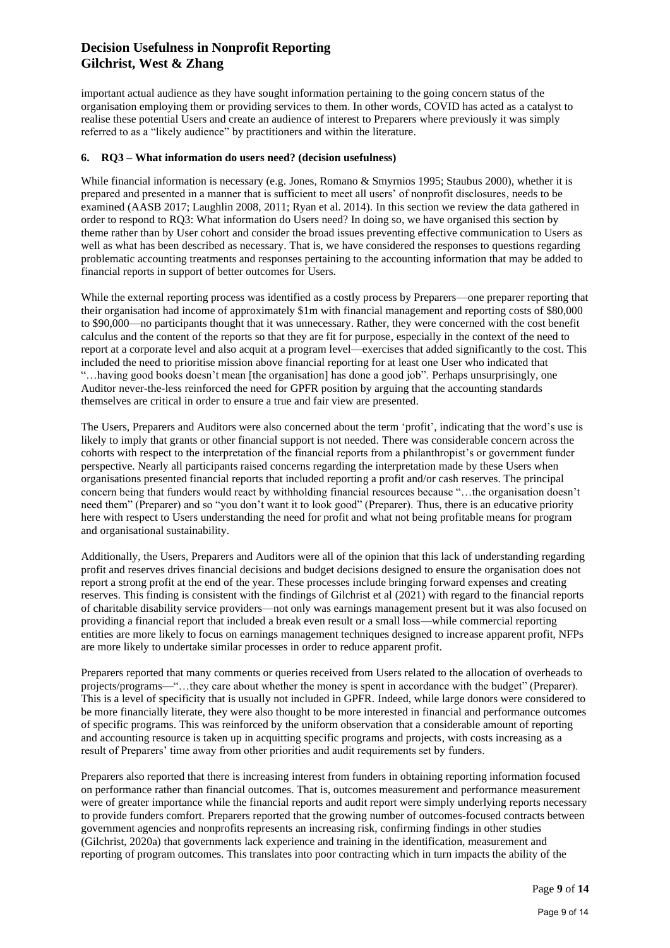important actual audience as they have sought information pertaining to the going concern status of the organisation employing them or providing services to them. In other words, COVID has acted as a catalyst to realise these potential Users and create an audience of interest to Preparers where previously it was simply referred to as a "likely audience" by practitioners and within the literature.

#### **6. RQ3 – What information do users need? (decision usefulness)**

While financial information is necessary (e.g. Jones, Romano & Smyrnios 1995; Staubus 2000), whether it is prepared and presented in a manner that is sufficient to meet all users' of nonprofit disclosures, needs to be examined (AASB 2017; Laughlin 2008, 2011; Ryan et al. 2014). In this section we review the data gathered in order to respond to RQ3: What information do Users need? In doing so, we have organised this section by theme rather than by User cohort and consider the broad issues preventing effective communication to Users as well as what has been described as necessary. That is, we have considered the responses to questions regarding problematic accounting treatments and responses pertaining to the accounting information that may be added to financial reports in support of better outcomes for Users.

While the external reporting process was identified as a costly process by Preparers—one preparer reporting that their organisation had income of approximately \$1m with financial management and reporting costs of \$80,000 to \$90,000—no participants thought that it was unnecessary. Rather, they were concerned with the cost benefit calculus and the content of the reports so that they are fit for purpose, especially in the context of the need to report at a corporate level and also acquit at a program level—exercises that added significantly to the cost. This included the need to prioritise mission above financial reporting for at least one User who indicated that "…having good books doesn't mean [the organisation] has done a good job". Perhaps unsurprisingly, one Auditor never-the-less reinforced the need for GPFR position by arguing that the accounting standards themselves are critical in order to ensure a true and fair view are presented.

The Users, Preparers and Auditors were also concerned about the term 'profit', indicating that the word's use is likely to imply that grants or other financial support is not needed. There was considerable concern across the cohorts with respect to the interpretation of the financial reports from a philanthropist's or government funder perspective. Nearly all participants raised concerns regarding the interpretation made by these Users when organisations presented financial reports that included reporting a profit and/or cash reserves. The principal concern being that funders would react by withholding financial resources because "…the organisation doesn't need them" (Preparer) and so "you don't want it to look good" (Preparer). Thus, there is an educative priority here with respect to Users understanding the need for profit and what not being profitable means for program and organisational sustainability.

Additionally, the Users, Preparers and Auditors were all of the opinion that this lack of understanding regarding profit and reserves drives financial decisions and budget decisions designed to ensure the organisation does not report a strong profit at the end of the year. These processes include bringing forward expenses and creating reserves. This finding is consistent with the findings of Gilchrist et al (2021) with regard to the financial reports of charitable disability service providers—not only was earnings management present but it was also focused on providing a financial report that included a break even result or a small loss—while commercial reporting entities are more likely to focus on earnings management techniques designed to increase apparent profit, NFPs are more likely to undertake similar processes in order to reduce apparent profit.

Preparers reported that many comments or queries received from Users related to the allocation of overheads to projects/programs—"…they care about whether the money is spent in accordance with the budget" (Preparer). This is a level of specificity that is usually not included in GPFR. Indeed, while large donors were considered to be more financially literate, they were also thought to be more interested in financial and performance outcomes of specific programs. This was reinforced by the uniform observation that a considerable amount of reporting and accounting resource is taken up in acquitting specific programs and projects, with costs increasing as a result of Preparers' time away from other priorities and audit requirements set by funders.

Preparers also reported that there is increasing interest from funders in obtaining reporting information focused on performance rather than financial outcomes. That is, outcomes measurement and performance measurement were of greater importance while the financial reports and audit report were simply underlying reports necessary to provide funders comfort. Preparers reported that the growing number of outcomes-focused contracts between government agencies and nonprofits represents an increasing risk, confirming findings in other studies (Gilchrist, 2020a) that governments lack experience and training in the identification, measurement and reporting of program outcomes. This translates into poor contracting which in turn impacts the ability of the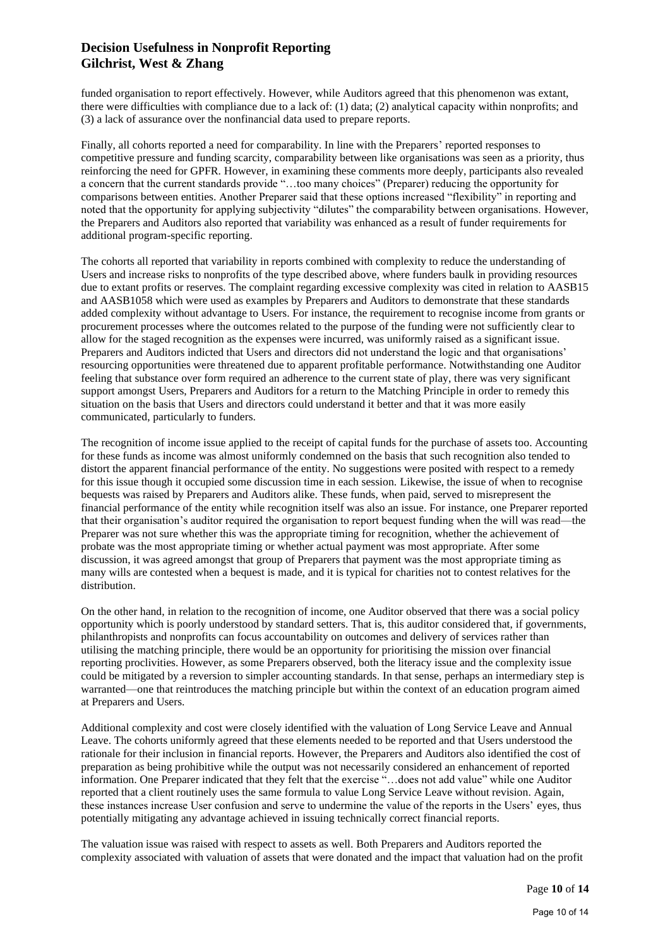funded organisation to report effectively. However, while Auditors agreed that this phenomenon was extant, there were difficulties with compliance due to a lack of: (1) data; (2) analytical capacity within nonprofits; and (3) a lack of assurance over the nonfinancial data used to prepare reports.

Finally, all cohorts reported a need for comparability. In line with the Preparers' reported responses to competitive pressure and funding scarcity, comparability between like organisations was seen as a priority, thus reinforcing the need for GPFR. However, in examining these comments more deeply, participants also revealed a concern that the current standards provide "…too many choices" (Preparer) reducing the opportunity for comparisons between entities. Another Preparer said that these options increased "flexibility" in reporting and noted that the opportunity for applying subjectivity "dilutes" the comparability between organisations. However, the Preparers and Auditors also reported that variability was enhanced as a result of funder requirements for additional program-specific reporting.

The cohorts all reported that variability in reports combined with complexity to reduce the understanding of Users and increase risks to nonprofits of the type described above, where funders baulk in providing resources due to extant profits or reserves. The complaint regarding excessive complexity was cited in relation to AASB15 and AASB1058 which were used as examples by Preparers and Auditors to demonstrate that these standards added complexity without advantage to Users. For instance, the requirement to recognise income from grants or procurement processes where the outcomes related to the purpose of the funding were not sufficiently clear to allow for the staged recognition as the expenses were incurred, was uniformly raised as a significant issue. Preparers and Auditors indicted that Users and directors did not understand the logic and that organisations' resourcing opportunities were threatened due to apparent profitable performance. Notwithstanding one Auditor feeling that substance over form required an adherence to the current state of play, there was very significant support amongst Users, Preparers and Auditors for a return to the Matching Principle in order to remedy this situation on the basis that Users and directors could understand it better and that it was more easily communicated, particularly to funders.

The recognition of income issue applied to the receipt of capital funds for the purchase of assets too. Accounting for these funds as income was almost uniformly condemned on the basis that such recognition also tended to distort the apparent financial performance of the entity. No suggestions were posited with respect to a remedy for this issue though it occupied some discussion time in each session. Likewise, the issue of when to recognise bequests was raised by Preparers and Auditors alike. These funds, when paid, served to misrepresent the financial performance of the entity while recognition itself was also an issue. For instance, one Preparer reported that their organisation's auditor required the organisation to report bequest funding when the will was read—the Preparer was not sure whether this was the appropriate timing for recognition, whether the achievement of probate was the most appropriate timing or whether actual payment was most appropriate. After some discussion, it was agreed amongst that group of Preparers that payment was the most appropriate timing as many wills are contested when a bequest is made, and it is typical for charities not to contest relatives for the distribution.

On the other hand, in relation to the recognition of income, one Auditor observed that there was a social policy opportunity which is poorly understood by standard setters. That is, this auditor considered that, if governments, philanthropists and nonprofits can focus accountability on outcomes and delivery of services rather than utilising the matching principle, there would be an opportunity for prioritising the mission over financial reporting proclivities. However, as some Preparers observed, both the literacy issue and the complexity issue could be mitigated by a reversion to simpler accounting standards. In that sense, perhaps an intermediary step is warranted—one that reintroduces the matching principle but within the context of an education program aimed at Preparers and Users.

Additional complexity and cost were closely identified with the valuation of Long Service Leave and Annual Leave. The cohorts uniformly agreed that these elements needed to be reported and that Users understood the rationale for their inclusion in financial reports. However, the Preparers and Auditors also identified the cost of preparation as being prohibitive while the output was not necessarily considered an enhancement of reported information. One Preparer indicated that they felt that the exercise "…does not add value" while one Auditor reported that a client routinely uses the same formula to value Long Service Leave without revision. Again, these instances increase User confusion and serve to undermine the value of the reports in the Users' eyes, thus potentially mitigating any advantage achieved in issuing technically correct financial reports.

The valuation issue was raised with respect to assets as well. Both Preparers and Auditors reported the complexity associated with valuation of assets that were donated and the impact that valuation had on the profit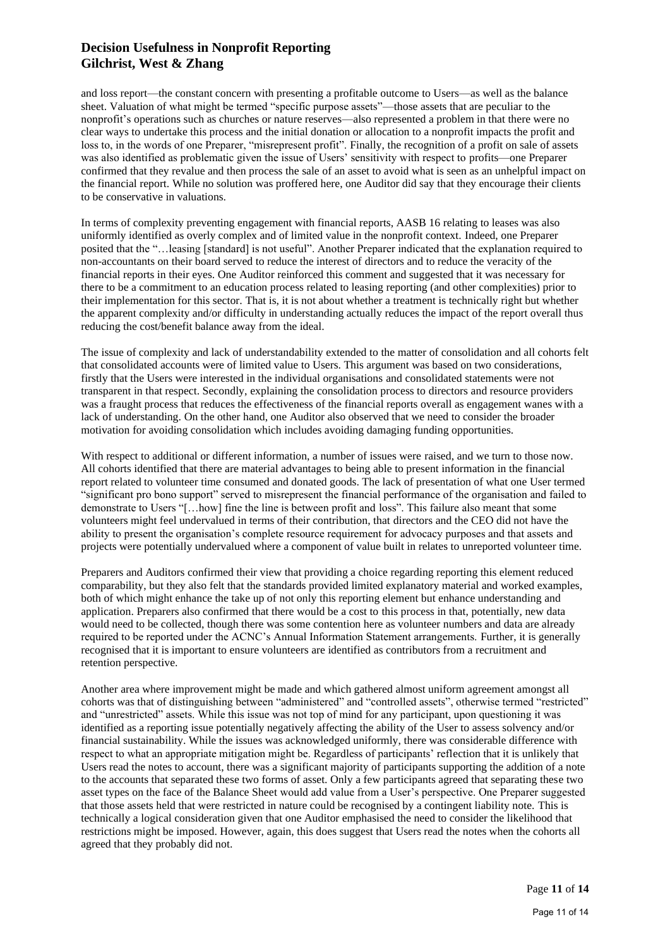and loss report—the constant concern with presenting a profitable outcome to Users—as well as the balance sheet. Valuation of what might be termed "specific purpose assets"—those assets that are peculiar to the nonprofit's operations such as churches or nature reserves—also represented a problem in that there were no clear ways to undertake this process and the initial donation or allocation to a nonprofit impacts the profit and loss to, in the words of one Preparer, "misrepresent profit". Finally, the recognition of a profit on sale of assets was also identified as problematic given the issue of Users' sensitivity with respect to profits—one Preparer confirmed that they revalue and then process the sale of an asset to avoid what is seen as an unhelpful impact on the financial report. While no solution was proffered here, one Auditor did say that they encourage their clients to be conservative in valuations.

In terms of complexity preventing engagement with financial reports, AASB 16 relating to leases was also uniformly identified as overly complex and of limited value in the nonprofit context. Indeed, one Preparer posited that the "…leasing [standard] is not useful". Another Preparer indicated that the explanation required to non-accountants on their board served to reduce the interest of directors and to reduce the veracity of the financial reports in their eyes. One Auditor reinforced this comment and suggested that it was necessary for there to be a commitment to an education process related to leasing reporting (and other complexities) prior to their implementation for this sector. That is, it is not about whether a treatment is technically right but whether the apparent complexity and/or difficulty in understanding actually reduces the impact of the report overall thus reducing the cost/benefit balance away from the ideal.

The issue of complexity and lack of understandability extended to the matter of consolidation and all cohorts felt that consolidated accounts were of limited value to Users. This argument was based on two considerations, firstly that the Users were interested in the individual organisations and consolidated statements were not transparent in that respect. Secondly, explaining the consolidation process to directors and resource providers was a fraught process that reduces the effectiveness of the financial reports overall as engagement wanes with a lack of understanding. On the other hand, one Auditor also observed that we need to consider the broader motivation for avoiding consolidation which includes avoiding damaging funding opportunities.

With respect to additional or different information, a number of issues were raised, and we turn to those now. All cohorts identified that there are material advantages to being able to present information in the financial report related to volunteer time consumed and donated goods. The lack of presentation of what one User termed "significant pro bono support" served to misrepresent the financial performance of the organisation and failed to demonstrate to Users "[…how] fine the line is between profit and loss". This failure also meant that some volunteers might feel undervalued in terms of their contribution, that directors and the CEO did not have the ability to present the organisation's complete resource requirement for advocacy purposes and that assets and projects were potentially undervalued where a component of value built in relates to unreported volunteer time.

Preparers and Auditors confirmed their view that providing a choice regarding reporting this element reduced comparability, but they also felt that the standards provided limited explanatory material and worked examples, both of which might enhance the take up of not only this reporting element but enhance understanding and application. Preparers also confirmed that there would be a cost to this process in that, potentially, new data would need to be collected, though there was some contention here as volunteer numbers and data are already required to be reported under the ACNC's Annual Information Statement arrangements. Further, it is generally recognised that it is important to ensure volunteers are identified as contributors from a recruitment and retention perspective.

Another area where improvement might be made and which gathered almost uniform agreement amongst all cohorts was that of distinguishing between "administered" and "controlled assets", otherwise termed "restricted" and "unrestricted" assets. While this issue was not top of mind for any participant, upon questioning it was identified as a reporting issue potentially negatively affecting the ability of the User to assess solvency and/or financial sustainability. While the issues was acknowledged uniformly, there was considerable difference with respect to what an appropriate mitigation might be. Regardless of participants' reflection that it is unlikely that Users read the notes to account, there was a significant majority of participants supporting the addition of a note to the accounts that separated these two forms of asset. Only a few participants agreed that separating these two asset types on the face of the Balance Sheet would add value from a User's perspective. One Preparer suggested that those assets held that were restricted in nature could be recognised by a contingent liability note. This is technically a logical consideration given that one Auditor emphasised the need to consider the likelihood that restrictions might be imposed. However, again, this does suggest that Users read the notes when the cohorts all agreed that they probably did not.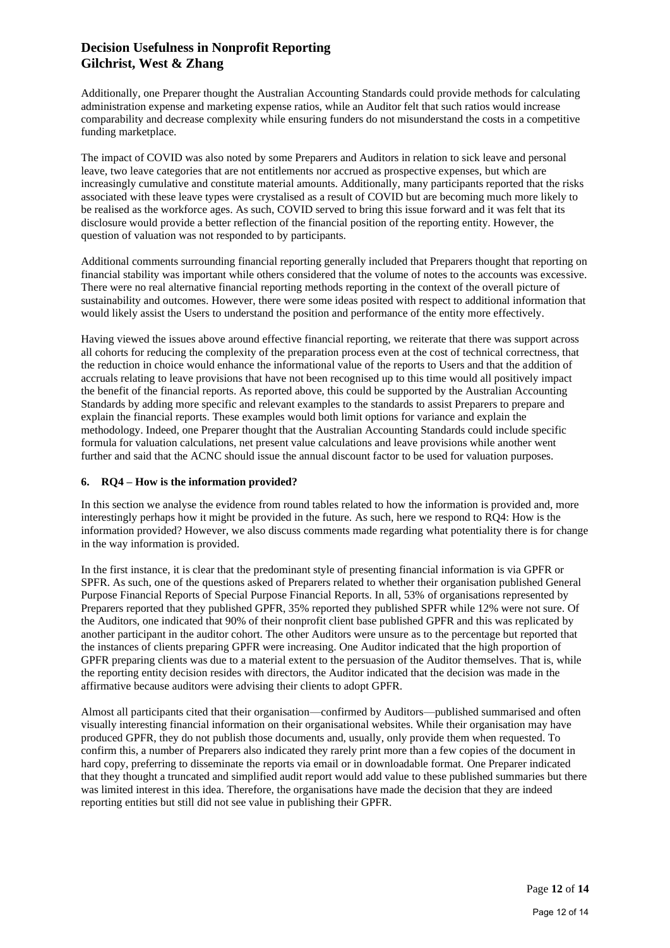Additionally, one Preparer thought the Australian Accounting Standards could provide methods for calculating administration expense and marketing expense ratios, while an Auditor felt that such ratios would increase comparability and decrease complexity while ensuring funders do not misunderstand the costs in a competitive funding marketplace.

The impact of COVID was also noted by some Preparers and Auditors in relation to sick leave and personal leave, two leave categories that are not entitlements nor accrued as prospective expenses, but which are increasingly cumulative and constitute material amounts. Additionally, many participants reported that the risks associated with these leave types were crystalised as a result of COVID but are becoming much more likely to be realised as the workforce ages. As such, COVID served to bring this issue forward and it was felt that its disclosure would provide a better reflection of the financial position of the reporting entity. However, the question of valuation was not responded to by participants.

Additional comments surrounding financial reporting generally included that Preparers thought that reporting on financial stability was important while others considered that the volume of notes to the accounts was excessive. There were no real alternative financial reporting methods reporting in the context of the overall picture of sustainability and outcomes. However, there were some ideas posited with respect to additional information that would likely assist the Users to understand the position and performance of the entity more effectively.

Having viewed the issues above around effective financial reporting, we reiterate that there was support across all cohorts for reducing the complexity of the preparation process even at the cost of technical correctness, that the reduction in choice would enhance the informational value of the reports to Users and that the addition of accruals relating to leave provisions that have not been recognised up to this time would all positively impact the benefit of the financial reports. As reported above, this could be supported by the Australian Accounting Standards by adding more specific and relevant examples to the standards to assist Preparers to prepare and explain the financial reports. These examples would both limit options for variance and explain the methodology. Indeed, one Preparer thought that the Australian Accounting Standards could include specific formula for valuation calculations, net present value calculations and leave provisions while another went further and said that the ACNC should issue the annual discount factor to be used for valuation purposes.

#### **6. RQ4 – How is the information provided?**

In this section we analyse the evidence from round tables related to how the information is provided and, more interestingly perhaps how it might be provided in the future. As such, here we respond to RQ4: How is the information provided? However, we also discuss comments made regarding what potentiality there is for change in the way information is provided.

In the first instance, it is clear that the predominant style of presenting financial information is via GPFR or SPFR. As such, one of the questions asked of Preparers related to whether their organisation published General Purpose Financial Reports of Special Purpose Financial Reports. In all, 53% of organisations represented by Preparers reported that they published GPFR, 35% reported they published SPFR while 12% were not sure. Of the Auditors, one indicated that 90% of their nonprofit client base published GPFR and this was replicated by another participant in the auditor cohort. The other Auditors were unsure as to the percentage but reported that the instances of clients preparing GPFR were increasing. One Auditor indicated that the high proportion of GPFR preparing clients was due to a material extent to the persuasion of the Auditor themselves. That is, while the reporting entity decision resides with directors, the Auditor indicated that the decision was made in the affirmative because auditors were advising their clients to adopt GPFR.

Almost all participants cited that their organisation—confirmed by Auditors—published summarised and often visually interesting financial information on their organisational websites. While their organisation may have produced GPFR, they do not publish those documents and, usually, only provide them when requested. To confirm this, a number of Preparers also indicated they rarely print more than a few copies of the document in hard copy, preferring to disseminate the reports via email or in downloadable format. One Preparer indicated that they thought a truncated and simplified audit report would add value to these published summaries but there was limited interest in this idea. Therefore, the organisations have made the decision that they are indeed reporting entities but still did not see value in publishing their GPFR.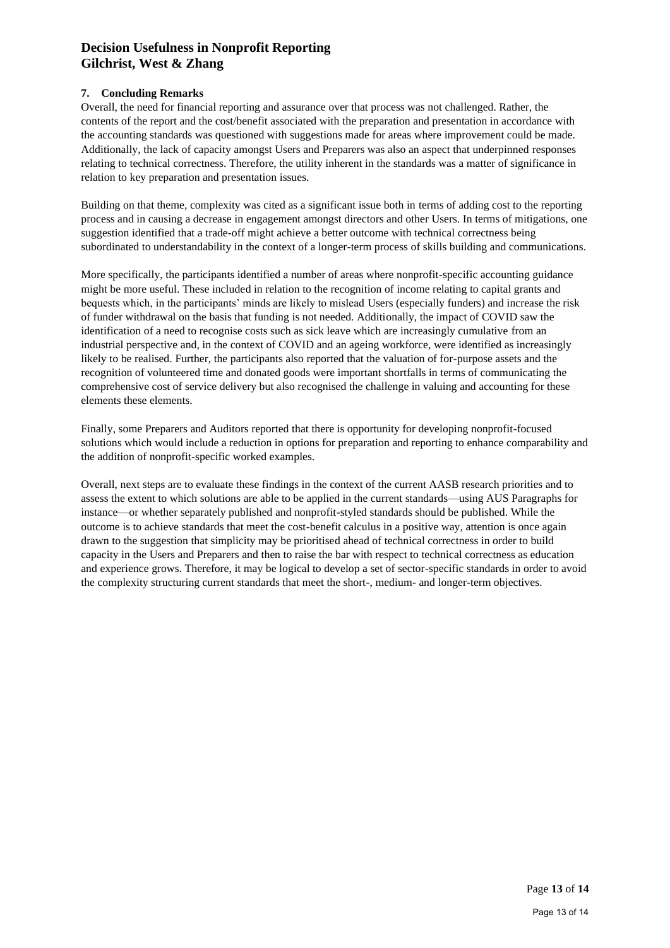### **7. Concluding Remarks**

Overall, the need for financial reporting and assurance over that process was not challenged. Rather, the contents of the report and the cost/benefit associated with the preparation and presentation in accordance with the accounting standards was questioned with suggestions made for areas where improvement could be made. Additionally, the lack of capacity amongst Users and Preparers was also an aspect that underpinned responses relating to technical correctness. Therefore, the utility inherent in the standards was a matter of significance in relation to key preparation and presentation issues.

Building on that theme, complexity was cited as a significant issue both in terms of adding cost to the reporting process and in causing a decrease in engagement amongst directors and other Users. In terms of mitigations, one suggestion identified that a trade-off might achieve a better outcome with technical correctness being subordinated to understandability in the context of a longer-term process of skills building and communications.

More specifically, the participants identified a number of areas where nonprofit-specific accounting guidance might be more useful. These included in relation to the recognition of income relating to capital grants and bequests which, in the participants' minds are likely to mislead Users (especially funders) and increase the risk of funder withdrawal on the basis that funding is not needed. Additionally, the impact of COVID saw the identification of a need to recognise costs such as sick leave which are increasingly cumulative from an industrial perspective and, in the context of COVID and an ageing workforce, were identified as increasingly likely to be realised. Further, the participants also reported that the valuation of for-purpose assets and the recognition of volunteered time and donated goods were important shortfalls in terms of communicating the comprehensive cost of service delivery but also recognised the challenge in valuing and accounting for these elements these elements.

Finally, some Preparers and Auditors reported that there is opportunity for developing nonprofit-focused solutions which would include a reduction in options for preparation and reporting to enhance comparability and the addition of nonprofit-specific worked examples.

Overall, next steps are to evaluate these findings in the context of the current AASB research priorities and to assess the extent to which solutions are able to be applied in the current standards—using AUS Paragraphs for instance—or whether separately published and nonprofit-styled standards should be published. While the outcome is to achieve standards that meet the cost-benefit calculus in a positive way, attention is once again drawn to the suggestion that simplicity may be prioritised ahead of technical correctness in order to build capacity in the Users and Preparers and then to raise the bar with respect to technical correctness as education and experience grows. Therefore, it may be logical to develop a set of sector-specific standards in order to avoid the complexity structuring current standards that meet the short-, medium- and longer-term objectives.